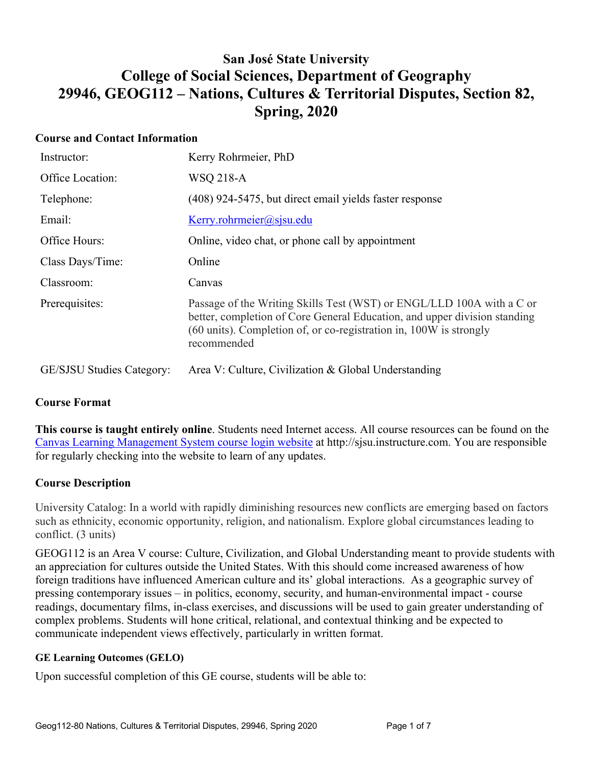# **San José State University College of Social Sciences, Department of Geography 29946, GEOG112 – Nations, Cultures & Territorial Disputes, Section 82, Spring, 2020**

## **Course and Contact Information**

| Instructor:                      | Kerry Rohrmeier, PhD                                                                                                                                                                                                                    |
|----------------------------------|-----------------------------------------------------------------------------------------------------------------------------------------------------------------------------------------------------------------------------------------|
| Office Location:                 | WSQ 218-A                                                                                                                                                                                                                               |
| Telephone:                       | (408) 924-5475, but direct email yields faster response                                                                                                                                                                                 |
| Email:                           | Kerry. rohrmeier@ssisu.edu                                                                                                                                                                                                              |
| Office Hours:                    | Online, video chat, or phone call by appointment                                                                                                                                                                                        |
| Class Days/Time:                 | Online                                                                                                                                                                                                                                  |
| Classroom:                       | Canvas                                                                                                                                                                                                                                  |
| Prerequisites:                   | Passage of the Writing Skills Test (WST) or ENGL/LLD 100A with a C or<br>better, completion of Core General Education, and upper division standing<br>(60 units). Completion of, or co-registration in, 100W is strongly<br>recommended |
| <b>GE/SJSU Studies Category:</b> | Area V: Culture, Civilization & Global Understanding                                                                                                                                                                                    |

## **Course Format**

**This course is taught entirely online**. Students need Internet access. All course resources can be found on the Canvas Learning Management System course login website at http://sjsu.instructure.com. You are responsible for regularly checking into the website to learn of any updates.

## **Course Description**

University Catalog: In a world with rapidly diminishing resources new conflicts are emerging based on factors such as ethnicity, economic opportunity, religion, and nationalism. Explore global circumstances leading to conflict. (3 units)

GEOG112 is an Area V course: Culture, Civilization, and Global Understanding meant to provide students with an appreciation for cultures outside the United States. With this should come increased awareness of how foreign traditions have influenced American culture and its' global interactions. As a geographic survey of pressing contemporary issues – in politics, economy, security, and human-environmental impact - course readings, documentary films, in-class exercises, and discussions will be used to gain greater understanding of complex problems. Students will hone critical, relational, and contextual thinking and be expected to communicate independent views effectively, particularly in written format.

## **GE Learning Outcomes (GELO)**

Upon successful completion of this GE course, students will be able to: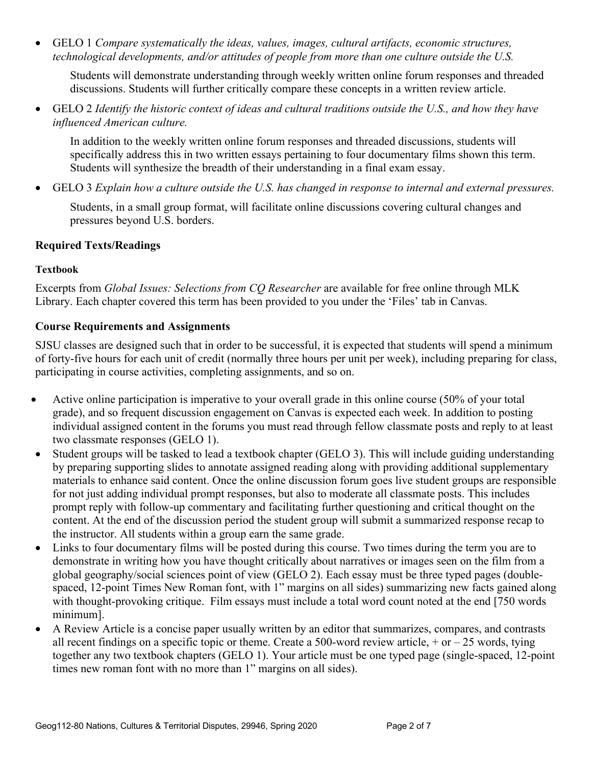• GELO 1 *Compare systematically the ideas, values, images, cultural artifacts, economic structures, technological developments, and/or attitudes of people from more than one culture outside the U.S.*

Students will demonstrate understanding through weekly written online forum responses and threaded discussions. Students will further critically compare these concepts in a written review article.

• GELO 2 *Identify the historic context of ideas and cultural traditions outside the U.S., and how they have influenced American culture.*

In addition to the weekly written online forum responses and threaded discussions, students will specifically address this in two written essays pertaining to four documentary films shown this term. Students will synthesize the breadth of their understanding in a final exam essay.

• GELO 3 *Explain how a culture outside the U.S. has changed in response to internal and external pressures.*

Students, in a small group format, will facilitate online discussions covering cultural changes and pressures beyond U.S. borders.

# **Required Texts/Readings**

#### **Textbook**

Excerpts from *Global Issues: Selections from CQ Researcher* are available for free online through MLK Library. Each chapter covered this term has been provided to you under the 'Files' tab in Canvas.

# **Course Requirements and Assignments**

SJSU classes are designed such that in order to be successful, it is expected that students will spend a minimum of forty-five hours for each unit of credit (normally three hours per unit per week), including preparing for class, participating in course activities, completing assignments, and so on.

- Active online participation is imperative to your overall grade in this online course (50% of your total grade), and so frequent discussion engagement on Canvas is expected each week. In addition to posting individual assigned content in the forums you must read through fellow classmate posts and reply to at least two classmate responses (GELO 1).
- Student groups will be tasked to lead a textbook chapter (GELO 3). This will include guiding understanding by preparing supporting slides to annotate assigned reading along with providing additional supplementary materials to enhance said content. Once the online discussion forum goes live student groups are responsible for not just adding individual prompt responses, but also to moderate all classmate posts. This includes prompt reply with follow-up commentary and facilitating further questioning and critical thought on the content. At the end of the discussion period the student group will submit a summarized response recap to the instructor. All students within a group earn the same grade.
- Links to four documentary films will be posted during this course. Two times during the term you are to demonstrate in writing how you have thought critically about narratives or images seen on the film from a global geography/social sciences point of view (GELO 2). Each essay must be three typed pages (doublespaced, 12-point Times New Roman font, with 1" margins on all sides) summarizing new facts gained along with thought-provoking critique. Film essays must include a total word count noted at the end [750 words minimum].
- A Review Article is a concise paper usually written by an editor that summarizes, compares, and contrasts all recent findings on a specific topic or theme. Create a 500-word review article,  $+$  or  $-$  25 words, tying together any two textbook chapters (GELO 1). Your article must be one typed page (single-spaced, 12-point times new roman font with no more than 1" margins on all sides).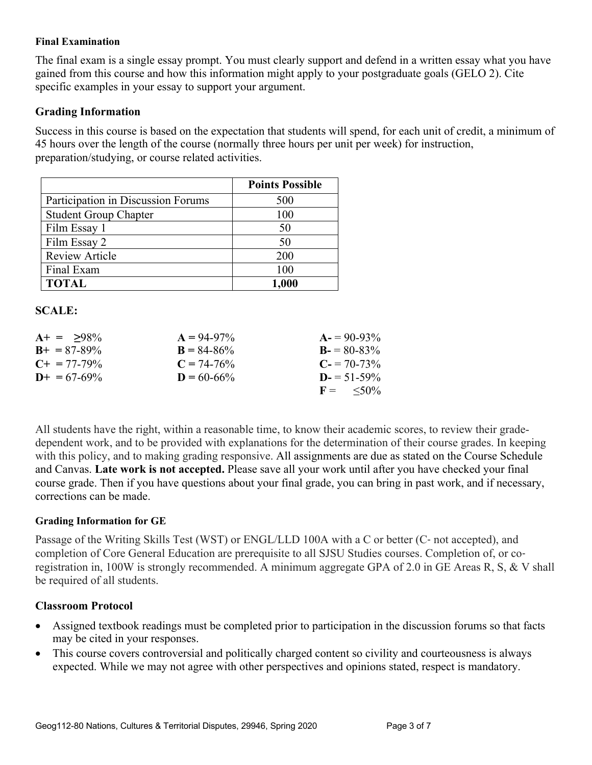#### **Final Examination**

The final exam is a single essay prompt. You must clearly support and defend in a written essay what you have gained from this course and how this information might apply to your postgraduate goals (GELO 2). Cite specific examples in your essay to support your argument.

#### **Grading Information**

Success in this course is based on the expectation that students will spend, for each unit of credit, a minimum of 45 hours over the length of the course (normally three hours per unit per week) for instruction, preparation/studying, or course related activities.

|                                    | <b>Points Possible</b> |
|------------------------------------|------------------------|
| Participation in Discussion Forums | 500                    |
| <b>Student Group Chapter</b>       | 100                    |
| Film Essay 1                       | 50                     |
| Film Essay 2                       | 50                     |
| <b>Review Article</b>              | 200                    |
| Final Exam                         | 100                    |
| <b>TOTAL</b>                       | 1,000                  |

#### **SCALE:**

| $A+ = 98\%$           | $A = 94-97\%$   | $A = 90-93\%$              |
|-----------------------|-----------------|----------------------------|
| $B_{+} = 87 - 89\%$   | $B = 84 - 86\%$ | $B = 80-83\%$              |
| $C_{\pm} = 77 - 79\%$ | $C = 74 - 76\%$ | $C = 70-73\%$              |
| $D_{+} = 67 - 69\%$   | $D = 60 - 66\%$ | $D = 51 - 59\%$            |
|                       |                 | $F = \langle 50\% \rangle$ |

All students have the right, within a reasonable time, to know their academic scores, to review their gradedependent work, and to be provided with explanations for the determination of their course grades. In keeping with this policy, and to making grading responsive. All assignments are due as stated on the Course Schedule and Canvas. **Late work is not accepted.** Please save all your work until after you have checked your final course grade. Then if you have questions about your final grade, you can bring in past work, and if necessary, corrections can be made.

#### **Grading Information for GE**

Passage of the Writing Skills Test (WST) or ENGL/LLD 100A with a C or better (C‐ not accepted), and completion of Core General Education are prerequisite to all SJSU Studies courses. Completion of, or coregistration in, 100W is strongly recommended. A minimum aggregate GPA of 2.0 in GE Areas R, S, & V shall be required of all students.

## **Classroom Protocol**

- Assigned textbook readings must be completed prior to participation in the discussion forums so that facts may be cited in your responses.
- This course covers controversial and politically charged content so civility and courteousness is always expected. While we may not agree with other perspectives and opinions stated, respect is mandatory.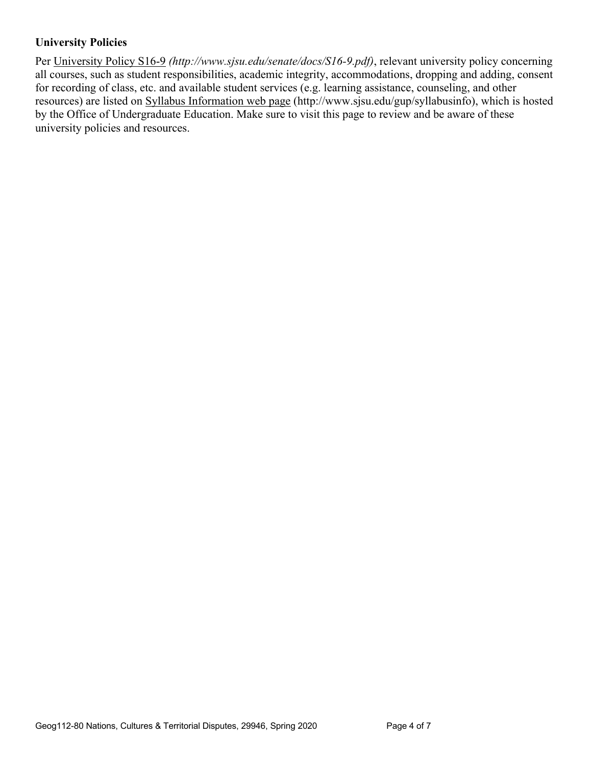# **University Policies**

Per University Policy S16-9 *(http://www.sjsu.edu/senate/docs/S16-9.pdf)*, relevant university policy concerning all courses, such as student responsibilities, academic integrity, accommodations, dropping and adding, consent for recording of class, etc. and available student services (e.g. learning assistance, counseling, and other resources) are listed on Syllabus Information web page (http://www.sjsu.edu/gup/syllabusinfo), which is hosted by the Office of Undergraduate Education. Make sure to visit this page to review and be aware of these university policies and resources.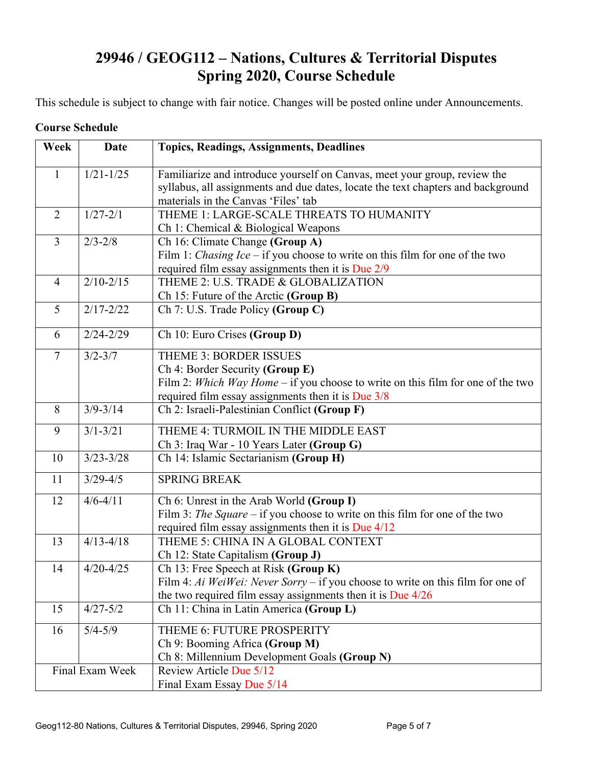# **29946 / GEOG112 – Nations, Cultures & Territorial Disputes Spring 2020, Course Schedule**

This schedule is subject to change with fair notice. Changes will be posted online under Announcements.

#### **Course Schedule**

| Week           | <b>Date</b>     | <b>Topics, Readings, Assignments, Deadlines</b>                                                                                                                                                             |  |
|----------------|-----------------|-------------------------------------------------------------------------------------------------------------------------------------------------------------------------------------------------------------|--|
| 1              | $1/21 - 1/25$   | Familiarize and introduce yourself on Canvas, meet your group, review the<br>syllabus, all assignments and due dates, locate the text chapters and background<br>materials in the Canvas 'Files' tab        |  |
| $\overline{2}$ | $1/27 - 2/1$    | THEME 1: LARGE-SCALE THREATS TO HUMANITY<br>Ch 1: Chemical & Biological Weapons                                                                                                                             |  |
| $\overline{3}$ | $2/3 - 2/8$     | Ch 16: Climate Change (Group A)<br>Film 1: <i>Chasing Ice</i> – if you choose to write on this film for one of the two<br>required film essay assignments then it is Due 2/9                                |  |
| $\overline{4}$ | $2/10 - 2/15$   | THEME 2: U.S. TRADE & GLOBALIZATION<br>Ch 15: Future of the Arctic (Group B)                                                                                                                                |  |
| 5              | $2/17 - 2/22$   | Ch 7: U.S. Trade Policy (Group C)                                                                                                                                                                           |  |
| 6              | $2/24 - 2/29$   | Ch 10: Euro Crises (Group D)                                                                                                                                                                                |  |
| $\overline{7}$ | $3/2 - 3/7$     | <b>THEME 3: BORDER ISSUES</b><br>Ch 4: Border Security (Group E)<br>Film 2: Which Way Home $-$ if you choose to write on this film for one of the two<br>required film essay assignments then it is Due 3/8 |  |
| 8              | $3/9 - 3/14$    | Ch 2: Israeli-Palestinian Conflict (Group F)                                                                                                                                                                |  |
| 9              | $3/1 - 3/21$    | THEME 4: TURMOIL IN THE MIDDLE EAST<br>Ch 3: Iraq War - 10 Years Later (Group G)                                                                                                                            |  |
| 10             | $3/23 - 3/28$   | Ch 14: Islamic Sectarianism (Group H)                                                                                                                                                                       |  |
| 11             | $3/29 - 4/5$    | <b>SPRING BREAK</b>                                                                                                                                                                                         |  |
| 12             | $4/6 - 4/11$    | Ch 6: Unrest in the Arab World (Group I)<br>Film 3: The Square – if you choose to write on this film for one of the two<br>required film essay assignments then it is Due $4/12$                            |  |
| 13             | $4/13 - 4/18$   | THEME 5: CHINA IN A GLOBAL CONTEXT<br>Ch 12: State Capitalism (Group J)                                                                                                                                     |  |
| 14             | $4/20 - 4/25$   | Ch 13: Free Speech at Risk (Group $K$ )<br>Film 4: Ai WeiWei: Never Sorry – if you choose to write on this film for one of<br>the two required film essay assignments then it is Due $4/26$                 |  |
| 15             | $4/27 - 5/2$    | Ch 11: China in Latin America (Group L)                                                                                                                                                                     |  |
| 16             | $5/4 - 5/9$     | THEME 6: FUTURE PROSPERITY<br>Ch 9: Booming Africa (Group M)<br>Ch 8: Millennium Development Goals (Group N)                                                                                                |  |
|                | Final Exam Week | Review Article Due 5/12<br>Final Exam Essay Due 5/14                                                                                                                                                        |  |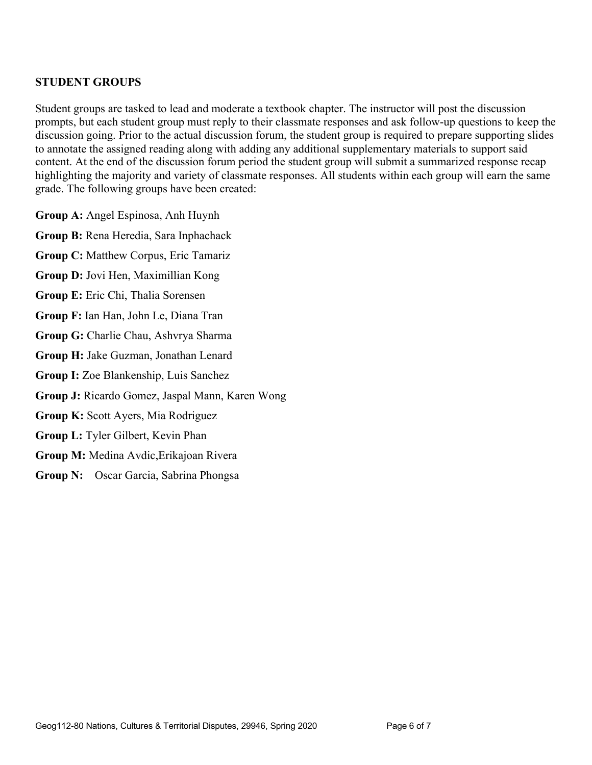## **STUDENT GROUPS**

Student groups are tasked to lead and moderate a textbook chapter. The instructor will post the discussion prompts, but each student group must reply to their classmate responses and ask follow-up questions to keep the discussion going. Prior to the actual discussion forum, the student group is required to prepare supporting slides to annotate the assigned reading along with adding any additional supplementary materials to support said content. At the end of the discussion forum period the student group will submit a summarized response recap highlighting the majority and variety of classmate responses. All students within each group will earn the same grade. The following groups have been created:

**Group A:** Angel Espinosa, Anh Huynh

**Group B:** Rena Heredia, Sara Inphachack

**Group C:** Matthew Corpus, Eric Tamariz

**Group D:** Jovi Hen, Maximillian Kong

**Group E:** Eric Chi, Thalia Sorensen

**Group F:** Ian Han, John Le, Diana Tran

**Group G:** Charlie Chau, Ashvrya Sharma

**Group H:** Jake Guzman, Jonathan Lenard

**Group I:** Zoe Blankenship, Luis Sanchez

**Group J:** Ricardo Gomez, Jaspal Mann, Karen Wong

**Group K:** Scott Ayers, Mia Rodriguez

**Group L:** Tyler Gilbert, Kevin Phan

**Group M:** Medina Avdic,Erikajoan Rivera

**Group N:** Oscar Garcia, Sabrina Phongsa